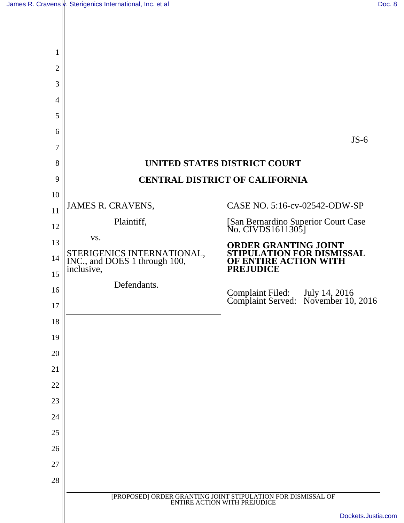$\mathbb{I}$ 

| 1              |                                                                        |                                                                                           |  |  |
|----------------|------------------------------------------------------------------------|-------------------------------------------------------------------------------------------|--|--|
| $\overline{2}$ |                                                                        |                                                                                           |  |  |
| 3              |                                                                        |                                                                                           |  |  |
| 4              |                                                                        |                                                                                           |  |  |
| 5              |                                                                        |                                                                                           |  |  |
| 6              |                                                                        | $JS-6$                                                                                    |  |  |
| 7              |                                                                        |                                                                                           |  |  |
| 8              |                                                                        | UNITED STATES DISTRICT COURT                                                              |  |  |
| 9              | <b>CENTRAL DISTRICT OF CALIFORNIA</b>                                  |                                                                                           |  |  |
| 10             | JAMES R. CRAVENS,                                                      | CASE NO. 5:16-cv-02542-ODW-SP                                                             |  |  |
| 11             | Plaintiff,                                                             |                                                                                           |  |  |
| 12             | VS.                                                                    | [San Bernardino Superior Court Case<br>No. CIVDS1611305]                                  |  |  |
| 13             |                                                                        | ORDER GRANTING JOINT<br><b>PULATION FOR DISMISSAL</b>                                     |  |  |
| 14<br>15       | STERIGENICS INTERNATIONAL, INC., and DOES 1 through 100,<br>inclusive, | OF ENTIRE ACTION WITH<br><b>PREJUDICE</b>                                                 |  |  |
| 16             | Defendants.                                                            |                                                                                           |  |  |
| 17             |                                                                        | Complaint Filed: July 14, 2016<br>Complaint Served: November 10, 2016                     |  |  |
| 18             |                                                                        |                                                                                           |  |  |
| 19             |                                                                        |                                                                                           |  |  |
| 20             |                                                                        |                                                                                           |  |  |
| 21             |                                                                        |                                                                                           |  |  |
| 22             |                                                                        |                                                                                           |  |  |
| 23             |                                                                        |                                                                                           |  |  |
| 24             |                                                                        |                                                                                           |  |  |
| 25             |                                                                        |                                                                                           |  |  |
| 26             |                                                                        |                                                                                           |  |  |
| 27             |                                                                        |                                                                                           |  |  |
| 28             |                                                                        |                                                                                           |  |  |
|                |                                                                        | [PROPOSED] ORDER GRANTING JOINT STIPULATION FOR DISMISSAL OF ENTIRE ACTION WITH PREJUDICE |  |  |
|                |                                                                        | Dockets.Justia.com                                                                        |  |  |